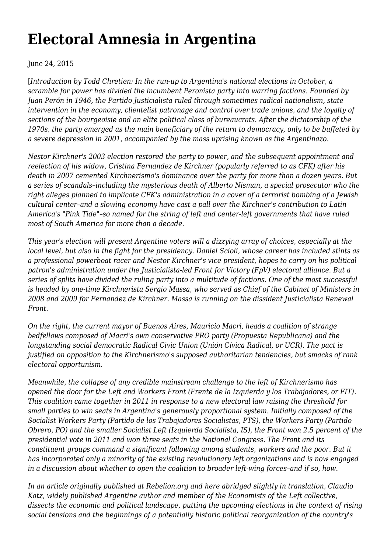# **[Electoral Amnesia in Argentina](https://newpol.org/electoral-amnesia-argentina/)**

June 24, 2015

[*Introduction by Todd Chretien: In the run-up to Argentina's national elections in October, a scramble for power has divided the incumbent Peronista party into warring factions. Founded by Juan Perón in 1946, the Partido Justicialista ruled through sometimes radical nationalism, state intervention in the economy, clientelist patronage and control over trade unions, and the loyalty of sections of the bourgeoisie and an elite political class of bureaucrats. After the dictatorship of the 1970s, the party emerged as the main beneficiary of the return to democracy, only to be buffeted by a severe depression in 2001, accompanied by the mass uprising known as the Argentinazo.*

*Nestor Kirchner's 2003 election restored the party to power, and the subsequent appointment and reelection of his widow, Cristina Fernandez de Kirchner (popularly referred to as CFK) after his death in 2007 cemented Kirchnerismo's dominance over the party for more than a dozen years. But a series of scandals–including the mysterious death of Alberto Nisman, a special prosecutor who the right alleges planned to implicate CFK's administration in a cover of a terrorist bombing of a Jewish cultural center–and a slowing economy have cast a pall over the Kirchner's contribution to Latin America's "Pink Tide"–so named for the string of left and center-left governments that have ruled most of South America for more than a decade.*

*This year's election will present Argentine voters will a dizzying array of choices, especially at the local level, but also in the fight for the presidency. Daniel Scioli, whose career has included stints as a professional powerboat racer and Nestor Kirchner's vice president, hopes to carry on his political patron's administration under the Justicialista-led Front for Victory (FpV) electoral alliance. But a series of splits have divided the ruling party into a multitude of factions. One of the most successful is headed by one-time Kirchnerista Sergio Massa, who served as Chief of the Cabinet of Ministers in 2008 and 2009 for Fernandez de Kirchner. Massa is running on the dissident Justicialista Renewal Front.*

*On the right, the current mayor of Buenos Aires, Mauricio Macri, heads a coalition of strange bedfellows composed of Macri's own conservative PRO party (Propuesta Republicana) and the longstanding social democratic Radical Civic Union (Unión Cívica Radical, or UCR). The pact is justified on opposition to the Kirchnerismo's supposed authoritarian tendencies, but smacks of rank electoral opportunism.*

*Meanwhile, the collapse of any credible mainstream challenge to the left of Kirchnerismo has opened the door for the Left and Workers Front (Frente de la Izquierda y los Trabajadores, or FIT). This coalition came together in 2011 in response to a new electoral law raising the threshold for small parties to win seats in Argentina's generously proportional system. Initially composed of the Socialist Workers Party (Partido de los Trabajadores Socialistas, PTS), the Workers Party (Partido Obrero, PO) and the smaller Socialist Left (Izquierda Socialista, IS), the Front won 2.5 percent of the presidential vote in 2011 and won three seats in the National Congress. The Front and its constituent groups command a significant following among students, workers and the poor. But it has incorporated only a minority of the existing revolutionary left organizations and is now engaged in a discussion about whether to open the coalition to broader left-wing forces–and if so, how.*

*[In an article originally published at Rebelion.org](http://www.rebelion.org/noticia.php?id=199162) and here abridged slightly in translation, Claudio Katz, widely published Argentine author and member of the Economists of the Left collective, dissects the economic and political landscape, putting the upcoming elections in the context of rising social tensions and the beginnings of a potentially historic political reorganization of the country's*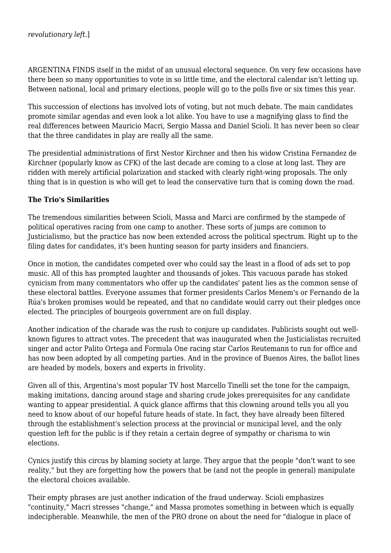ARGENTINA FINDS itself in the midst of an unusual electoral sequence. On very few occasions have there been so many opportunities to vote in so little time, and the electoral calendar isn't letting up. Between national, local and primary elections, people will go to the polls five or six times this year.

This succession of elections has involved lots of voting, but not much debate. The main candidates promote similar agendas and even look a lot alike. You have to use a magnifying glass to find the real differences between Mauricio Macri, Sergio Massa and Daniel Scioli. It has never been so clear that the three candidates in play are really all the same.

The presidential administrations of first Nestor Kirchner and then his widow Cristina Fernandez de Kirchner (popularly know as CFK) of the last decade are coming to a close at long last. They are ridden with merely artificial polarization and stacked with clearly right-wing proposals. The only thing that is in question is who will get to lead the conservative turn that is coming down the road.

#### **The Trio's Similarities**

The tremendous similarities between Scioli, Massa and Marci are confirmed by the stampede of political operatives racing from one camp to another. These sorts of jumps are common to Justicialismo, but the practice has now been extended across the political spectrum. Right up to the filing dates for candidates, it's been hunting season for party insiders and financiers.

Once in motion, the candidates competed over who could say the least in a flood of ads set to pop music. All of this has prompted laughter and thousands of jokes. This vacuous parade has stoked cynicism from many commentators who offer up the candidates' patent lies as the common sense of these electoral battles. Everyone assumes that former presidents Carlos Menem's or Fernando de la Rúa's broken promises would be repeated, and that no candidate would carry out their pledges once elected. The principles of bourgeois government are on full display.

Another indication of the charade was the rush to conjure up candidates. Publicists sought out wellknown figures to attract votes. The precedent that was inaugurated when the Justicialistas recruited singer and actor Palito Ortega and Formula One racing star Carlos Reutemann to run for office and has now been adopted by all competing parties. And in the province of Buenos Aires, the ballot lines are headed by models, boxers and experts in frivolity.

Given all of this, Argentina's most popular TV host Marcello Tinelli set the tone for the campaign, making imitations, dancing around stage and sharing crude jokes prerequisites for any candidate wanting to appear presidential. A quick glance affirms that this clowning around tells you all you need to know about of our hopeful future heads of state. In fact, they have already been filtered through the establishment's selection process at the provincial or municipal level, and the only question left for the public is if they retain a certain degree of sympathy or charisma to win elections.

Cynics justify this circus by blaming society at large. They argue that the people "don't want to see reality," but they are forgetting how the powers that be (and not the people in general) manipulate the electoral choices available.

Their empty phrases are just another indication of the fraud underway. Scioli emphasizes "continuity," Macri stresses "change," and Massa promotes something in between which is equally indecipherable. Meanwhile, the men of the PRO drone on about the need for "dialogue in place of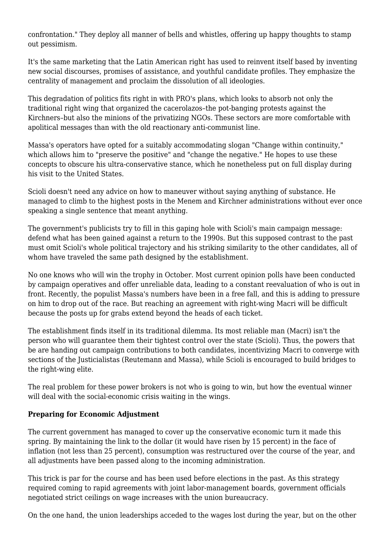confrontation." They deploy all manner of bells and whistles, offering up happy thoughts to stamp out pessimism.

It's the same marketing that the Latin American right has used to reinvent itself based by inventing new social discourses, promises of assistance, and youthful candidate profiles. They emphasize the centrality of management and proclaim the dissolution of all ideologies.

This degradation of politics fits right in with PRO's plans, which looks to absorb not only the traditional right wing that organized the cacerolazos–the pot-banging protests against the Kirchners–but also the minions of the privatizing NGOs. These sectors are more comfortable with apolitical messages than with the old reactionary anti-communist line.

Massa's operators have opted for a suitably accommodating slogan "Change within continuity," which allows him to "preserve the positive" and "change the negative." He hopes to use these concepts to obscure his ultra-conservative stance, which he nonetheless put on full display during his visit to the United States.

Scioli doesn't need any advice on how to maneuver without saying anything of substance. He managed to climb to the highest posts in the Menem and Kirchner administrations without ever once speaking a single sentence that meant anything.

The government's publicists try to fill in this gaping hole with Scioli's main campaign message: defend what has been gained against a return to the 1990s. But this supposed contrast to the past must omit Scioli's whole political trajectory and his striking similarity to the other candidates, all of whom have traveled the same path designed by the establishment.

No one knows who will win the trophy in October. Most current opinion polls have been conducted by campaign operatives and offer unreliable data, leading to a constant reevaluation of who is out in front. Recently, the populist Massa's numbers have been in a free fall, and this is adding to pressure on him to drop out of the race. But reaching an agreement with right-wing Macri will be difficult because the posts up for grabs extend beyond the heads of each ticket.

The establishment finds itself in its traditional dilemma. Its most reliable man (Macri) isn't the person who will guarantee them their tightest control over the state (Scioli). Thus, the powers that be are handing out campaign contributions to both candidates, incentivizing Macri to converge with sections of the Justicialistas (Reutemann and Massa), while Scioli is encouraged to build bridges to the right-wing elite.

The real problem for these power brokers is not who is going to win, but how the eventual winner will deal with the social-economic crisis waiting in the wings.

### **Preparing for Economic Adjustment**

The current government has managed to cover up the conservative economic turn it made this spring. By maintaining the link to the dollar (it would have risen by 15 percent) in the face of inflation (not less than 25 percent), consumption was restructured over the course of the year, and all adjustments have been passed along to the incoming administration.

This trick is par for the course and has been used before elections in the past. As this strategy required coming to rapid agreements with joint labor-management boards, government officials negotiated strict ceilings on wage increases with the union bureaucracy.

On the one hand, the union leaderships acceded to the wages lost during the year, but on the other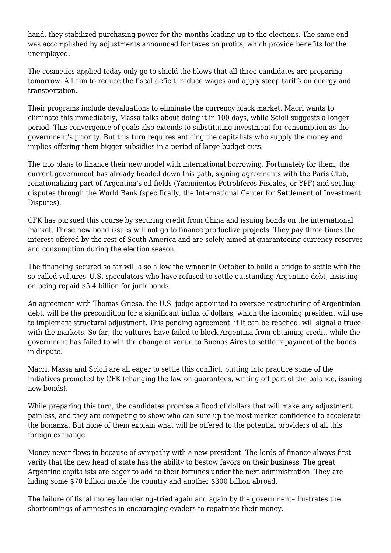hand, they stabilized purchasing power for the months leading up to the elections. The same end was accomplished by adjustments announced for taxes on profits, which provide benefits for the unemployed.

The cosmetics applied today only go to shield the blows that all three candidates are preparing tomorrow. All aim to reduce the fiscal deficit, reduce wages and apply steep tariffs on energy and transportation.

Their programs include devaluations to eliminate the currency black market. Macri wants to eliminate this immediately, Massa talks about doing it in 100 days, while Scioli suggests a longer period. This convergence of goals also extends to substituting investment for consumption as the government's priority. But this turn requires enticing the capitalists who supply the money and implies offering them bigger subsidies in a period of large budget cuts.

The trio plans to finance their new model with international borrowing. Fortunately for them, the current government has already headed down this path, signing agreements with the Paris Club, renationalizing part of Argentina's oil fields (Yacimientos Petrolíferos Fiscales, or YPF) and settling disputes through the World Bank (specifically, the International Center for Settlement of Investment Disputes).

CFK has pursued this course by securing credit from China and issuing bonds on the international market. These new bond issues will not go to finance productive projects. They pay three times the interest offered by the rest of South America and are solely aimed at guaranteeing currency reserves and consumption during the election season.

The financing secured so far will also allow the winner in October to build a bridge to settle with the so-called vultures–U.S. speculators who have refused to settle outstanding Argentine debt, insisting on being repaid \$5.4 billion for junk bonds.

An agreement with Thomas Griesa, the U.S. judge appointed to oversee restructuring of Argentinian debt, will be the precondition for a significant influx of dollars, which the incoming president will use to implement structural adjustment. This pending agreement, if it can be reached, will signal a truce with the markets. So far, the vultures have failed to block Argentina from obtaining credit, while the government has failed to win the change of venue to Buenos Aires to settle repayment of the bonds in dispute.

Macri, Massa and Scioli are all eager to settle this conflict, putting into practice some of the initiatives promoted by CFK (changing the law on guarantees, writing off part of the balance, issuing new bonds).

While preparing this turn, the candidates promise a flood of dollars that will make any adjustment painless, and they are competing to show who can sure up the most market confidence to accelerate the bonanza. But none of them explain what will be offered to the potential providers of all this foreign exchange.

Money never flows in because of sympathy with a new president. The lords of finance always first verify that the new head of state has the ability to bestow favors on their business. The great Argentine capitalists are eager to add to their fortunes under the next administration. They are hiding some \$70 billion inside the country and another \$300 billion abroad.

The failure of fiscal money laundering–tried again and again by the government–illustrates the shortcomings of amnesties in encouraging evaders to repatriate their money.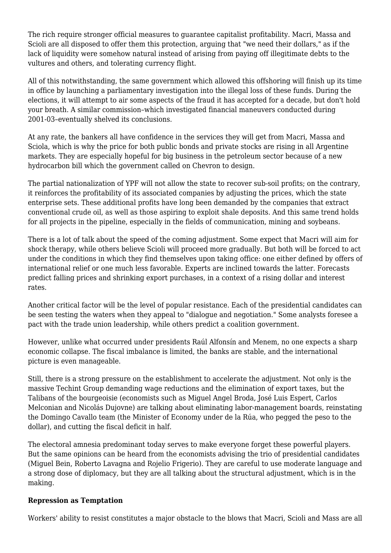The rich require stronger official measures to guarantee capitalist profitability. Macri, Massa and Scioli are all disposed to offer them this protection, arguing that "we need their dollars," as if the lack of liquidity were somehow natural instead of arising from paying off illegitimate debts to the vultures and others, and tolerating currency flight.

All of this notwithstanding, the same government which allowed this offshoring will finish up its time in office by launching a parliamentary investigation into the illegal loss of these funds. During the elections, it will attempt to air some aspects of the fraud it has accepted for a decade, but don't hold your breath. A similar commission–which investigated financial maneuvers conducted during 2001-03–eventually shelved its conclusions.

At any rate, the bankers all have confidence in the services they will get from Macri, Massa and Sciola, which is why the price for both public bonds and private stocks are rising in all Argentine markets. They are especially hopeful for big business in the petroleum sector because of a new hydrocarbon bill which the government called on Chevron to design.

The partial nationalization of YPF will not allow the state to recover sub-soil profits; on the contrary, it reinforces the profitability of its associated companies by adjusting the prices, which the state enterprise sets. These additional profits have long been demanded by the companies that extract conventional crude oil, as well as those aspiring to exploit shale deposits. And this same trend holds for all projects in the pipeline, especially in the fields of communication, mining and soybeans.

There is a lot of talk about the speed of the coming adjustment. Some expect that Macri will aim for shock therapy, while others believe Scioli will proceed more gradually. But both will be forced to act under the conditions in which they find themselves upon taking office: one either defined by offers of international relief or one much less favorable. Experts are inclined towards the latter. Forecasts predict falling prices and shrinking export purchases, in a context of a rising dollar and interest rates.

Another critical factor will be the level of popular resistance. Each of the presidential candidates can be seen testing the waters when they appeal to "dialogue and negotiation." Some analysts foresee a pact with the trade union leadership, while others predict a coalition government.

However, unlike what occurred under presidents Raúl Alfonsín and Menem, no one expects a sharp economic collapse. The fiscal imbalance is limited, the banks are stable, and the international picture is even manageable.

Still, there is a strong pressure on the establishment to accelerate the adjustment. Not only is the massive Techint Group demanding wage reductions and the elimination of export taxes, but the Talibans of the bourgeoisie (economists such as Miguel Angel Broda, José Luis Espert, Carlos Melconian and Nicolás Dujovne) are talking about eliminating labor-management boards, reinstating the Domingo Cavallo team (the Minister of Economy under de la Rúa, who pegged the peso to the dollar), and cutting the fiscal deficit in half.

The electoral amnesia predominant today serves to make everyone forget these powerful players. But the same opinions can be heard from the economists advising the trio of presidential candidates (Miguel Bein, Roberto Lavagna and Rojelio Frigerio). They are careful to use moderate language and a strong dose of diplomacy, but they are all talking about the structural adjustment, which is in the making.

#### **Repression as Temptation**

Workers' ability to resist constitutes a major obstacle to the blows that Macri, Scioli and Mass are all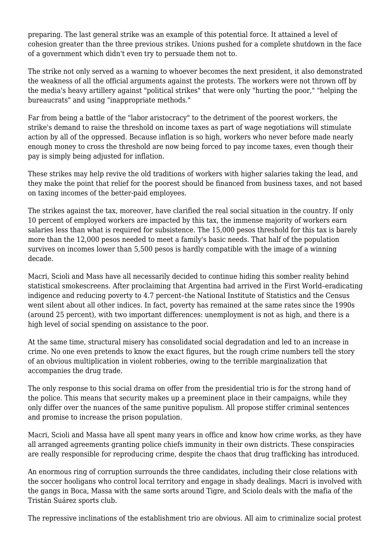preparing. The last general strike was an example of this potential force. It attained a level of cohesion greater than the three previous strikes. Unions pushed for a complete shutdown in the face of a government which didn't even try to persuade them not to.

The strike not only served as a warning to whoever becomes the next president, it also demonstrated the weakness of all the official arguments against the protests. The workers were not thrown off by the media's heavy artillery against "political strikes" that were only "hurting the poor," "helping the bureaucrats" and using "inappropriate methods."

Far from being a battle of the "labor aristocracy" to the detriment of the poorest workers, the strike's demand to raise the threshold on income taxes as part of wage negotiations will stimulate action by all of the oppressed. Because inflation is so high, workers who never before made nearly enough money to cross the threshold are now being forced to pay income taxes, even though their pay is simply being adjusted for inflation.

These strikes may help revive the old traditions of workers with higher salaries taking the lead, and they make the point that relief for the poorest should be financed from business taxes, and not based on taxing incomes of the better-paid employees.

The strikes against the tax, moreover, have clarified the real social situation in the country. If only 10 percent of employed workers are impacted by this tax, the immense majority of workers earn salaries less than what is required for subsistence. The 15,000 pesos threshold for this tax is barely more than the 12,000 pesos needed to meet a family's basic needs. That half of the population survives on incomes lower than 5,500 pesos is hardly compatible with the image of a winning decade.

Macri, Scioli and Mass have all necessarily decided to continue hiding this somber reality behind statistical smokescreens. After proclaiming that Argentina had arrived in the First World–eradicating indigence and reducing poverty to 4.7 percent–the National Institute of Statistics and the Census went silent about all other indices. In fact, poverty has remained at the same rates since the 1990s (around 25 percent), with two important differences: unemployment is not as high, and there is a high level of social spending on assistance to the poor.

At the same time, structural misery has consolidated social degradation and led to an increase in crime. No one even pretends to know the exact figures, but the rough crime numbers tell the story of an obvious multiplication in violent robberies, owing to the terrible marginalization that accompanies the drug trade.

The only response to this social drama on offer from the presidential trio is for the strong hand of the police. This means that security makes up a preeminent place in their campaigns, while they only differ over the nuances of the same punitive populism. All propose stiffer criminal sentences and promise to increase the prison population.

Macri, Scioli and Massa have all spent many years in office and know how crime works, as they have all arranged agreements granting police chiefs immunity in their own districts. These conspiracies are really responsible for reproducing crime, despite the chaos that drug trafficking has introduced.

An enormous ring of corruption surrounds the three candidates, including their close relations with the soccer hooligans who control local territory and engage in shady dealings. Macri is involved with the gangs in Boca, Massa with the same sorts around Tigre, and Sciolo deals with the mafia of the Tristán Suárez sports club.

The repressive inclinations of the establishment trio are obvious. All aim to criminalize social protest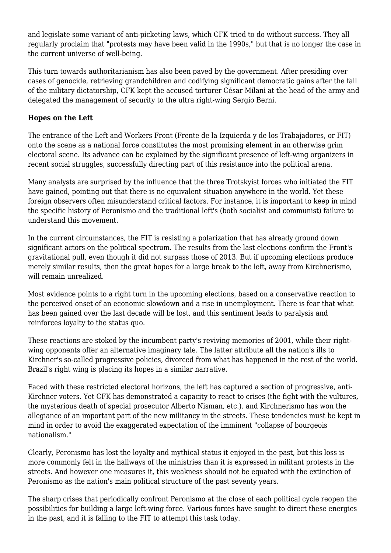and legislate some variant of anti-picketing laws, which CFK tried to do without success. They all regularly proclaim that "protests may have been valid in the 1990s," but that is no longer the case in the current universe of well-being.

This turn towards authoritarianism has also been paved by the government. After presiding over cases of genocide, retrieving grandchildren and codifying significant democratic gains after the fall of the military dictatorship, CFK kept the accused torturer César Milani at the head of the army and delegated the management of security to the ultra right-wing Sergio Berni.

## **Hopes on the Left**

The entrance of the Left and Workers Front (Frente de la Izquierda y de los Trabajadores, or FIT) onto the scene as a national force constitutes the most promising element in an otherwise grim electoral scene. Its advance can be explained by the significant presence of left-wing organizers in recent social struggles, successfully directing part of this resistance into the political arena.

Many analysts are surprised by the influence that the three Trotskyist forces who initiated the FIT have gained, pointing out that there is no equivalent situation anywhere in the world. Yet these foreign observers often misunderstand critical factors. For instance, it is important to keep in mind the specific history of Peronismo and the traditional left's (both socialist and communist) failure to understand this movement.

In the current circumstances, the FIT is resisting a polarization that has already ground down significant actors on the political spectrum. The results from the last elections confirm the Front's gravitational pull, even though it did not surpass those of 2013. But if upcoming elections produce merely similar results, then the great hopes for a large break to the left, away from Kirchnerismo, will remain unrealized.

Most evidence points to a right turn in the upcoming elections, based on a conservative reaction to the perceived onset of an economic slowdown and a rise in unemployment. There is fear that what has been gained over the last decade will be lost, and this sentiment leads to paralysis and reinforces loyalty to the status quo.

These reactions are stoked by the incumbent party's reviving memories of 2001, while their rightwing opponents offer an alternative imaginary tale. The latter attribute all the nation's ills to Kirchner's so-called progressive policies, divorced from what has happened in the rest of the world. Brazil's right wing is placing its hopes in a similar narrative.

Faced with these restricted electoral horizons, the left has captured a section of progressive, anti-Kirchner voters. Yet CFK has demonstrated a capacity to react to crises (the fight with the vultures, the mysterious death of special prosecutor Alberto Nisman, etc.). and Kirchnerismo has won the allegiance of an important part of the new militancy in the streets. These tendencies must be kept in mind in order to avoid the exaggerated expectation of the imminent "collapse of bourgeois nationalism."

Clearly, Peronismo has lost the loyalty and mythical status it enjoyed in the past, but this loss is more commonly felt in the hallways of the ministries than it is expressed in militant protests in the streets. And however one measures it, this weakness should not be equated with the extinction of Peronismo as the nation's main political structure of the past seventy years.

The sharp crises that periodically confront Peronismo at the close of each political cycle reopen the possibilities for building a large left-wing force. Various forces have sought to direct these energies in the past, and it is falling to the FIT to attempt this task today.